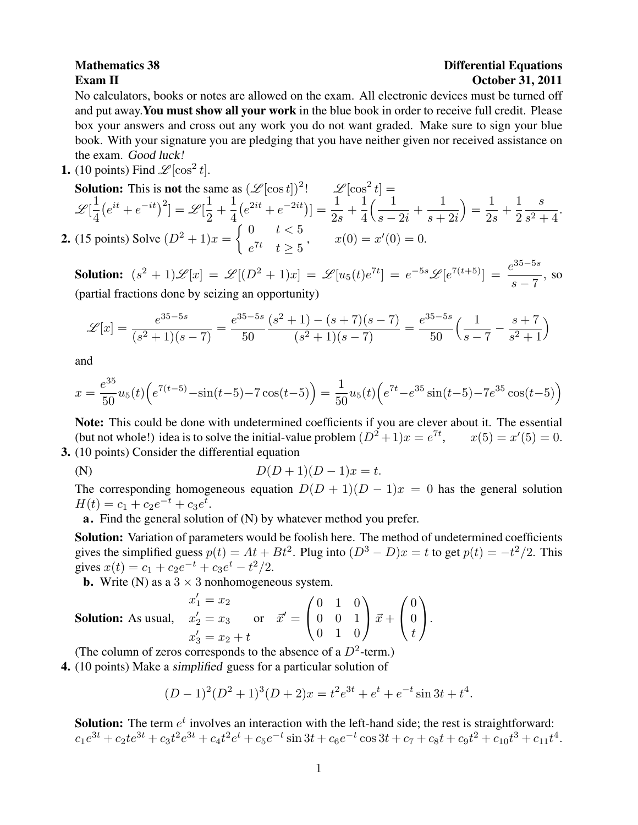## **Mathematics 38** Differential Equations Exam II October 31, 2011

No calculators, books or notes are allowed on the exam. All electronic devices must be turned off and put away.You must show all your work in the blue book in order to receive full credit. Please box your answers and cross out any work you do not want graded. Make sure to sign your blue book. With your signature you are pledging that you have neither given nor received assistance on the exam. Good luck!

**1.** (10 points) Find  $\mathcal{L}[\cos^2 t]$ .

**Solution:** This is **not** the same as 
$$
(\mathcal{L}[\cos t])^2
$$
!  
\n
$$
\mathcal{L}[\frac{1}{4}(e^{it} + e^{-it})^2] = \mathcal{L}[\frac{1}{2} + \frac{1}{4}(e^{2it} + e^{-2it})] = \frac{1}{2s} + \frac{1}{4}(\frac{1}{s-2i} + \frac{1}{s+2i}) = \frac{1}{2s} + \frac{1}{2}\frac{s}{s^2+4}.
$$
\n2. (15 points) Solve  $(D^2 + 1)x = \begin{cases} 0 & t < 5 \\ e^{7t} & t \ge 5 \end{cases}$ ,  $x(0) = x'(0) = 0$ .

Solution:  $(s^2 + 1)\mathscr{L}[x] = \mathscr{L}[(D^2 + 1)x] = \mathscr{L}[u_5(t)e^{7t}] = e^{-5s}\mathscr{L}[e^{7(t+5)}] = \frac{e^{35-5s}}{7}$  $\frac{s}{s-7}$ , so (partial fractions done by seizing an opportunity)

$$
\mathcal{L}[x] = \frac{e^{35-5s}}{(s^2+1)(s-7)} = \frac{e^{35-5s}}{50} \frac{(s^2+1) - (s+7)(s-7)}{(s^2+1)(s-7)} = \frac{e^{35-5s}}{50} \left(\frac{1}{s-7} - \frac{s+7}{s^2+1}\right)
$$

and

$$
x = \frac{e^{35}}{50}u_5(t)\left(e^{7(t-5)} - \sin(t-5) - 7\cos(t-5)\right) = \frac{1}{50}u_5(t)\left(e^{7t} - e^{35}\sin(t-5) - 7e^{35}\cos(t-5)\right)
$$

Note: This could be done with undetermined coefficients if you are clever about it. The essential (but not whole!) idea is to solve the initial-value problem  $(D^2 + 1)x = e^{7t}$ ,  $x(5) = x'(5) = 0$ . 3. (10 points) Consider the differential equation

(N)  $D(D+1)(D-1)x = t.$ 

The corresponding homogeneous equation  $D(D + 1)(D - 1)x = 0$  has the general solution  $H(t) = c_1 + c_2 e^{-t} + c_3 e^{t}.$ 

a. Find the general solution of (N) by whatever method you prefer.

Solution: Variation of parameters would be foolish here. The method of undetermined coefficients gives the simplified guess  $p(t) = At + Bt^2$ . Plug into  $(D^3 - D)x = t$  to get  $p(t) = -t^2/2$ . This gives  $x(t) = c_1 + c_2 e^{-t} + c_3 e^{t} - t^2/2$ .

**b.** Write (N) as a  $3 \times 3$  nonhomogeneous system.

**Solution:** As usual, 
$$
x'_1 = x_2
$$
  
\n $x'_2 = x_3$  or  $\vec{x}' = \begin{pmatrix} 0 & 1 & 0 \\ 0 & 0 & 1 \\ 0 & 1 & 0 \end{pmatrix} \vec{x} + \begin{pmatrix} 0 \\ 0 \\ t \end{pmatrix}$ .

(The column of zeros corresponds to the absence of a  $D^2$ -term.)

4. (10 points) Make a simplified guess for a particular solution of

$$
(D-1)^{2}(D^{2}+1)^{3}(D+2)x = t^{2}e^{3t} + e^{t} + e^{-t}\sin 3t + t^{4}.
$$

**Solution:** The term  $e^t$  involves an interaction with the left-hand side; the rest is straightforward:  $c_1e^{3t} + c_2te^{3t} + c_3t^2e^{3t} + c_4t^2e^t + c_5e^{-t}\sin 3t + c_6e^{-t}\cos 3t + c_7 + c_8t + c_9t^2 + c_{10}t^3 + c_{11}t^4.$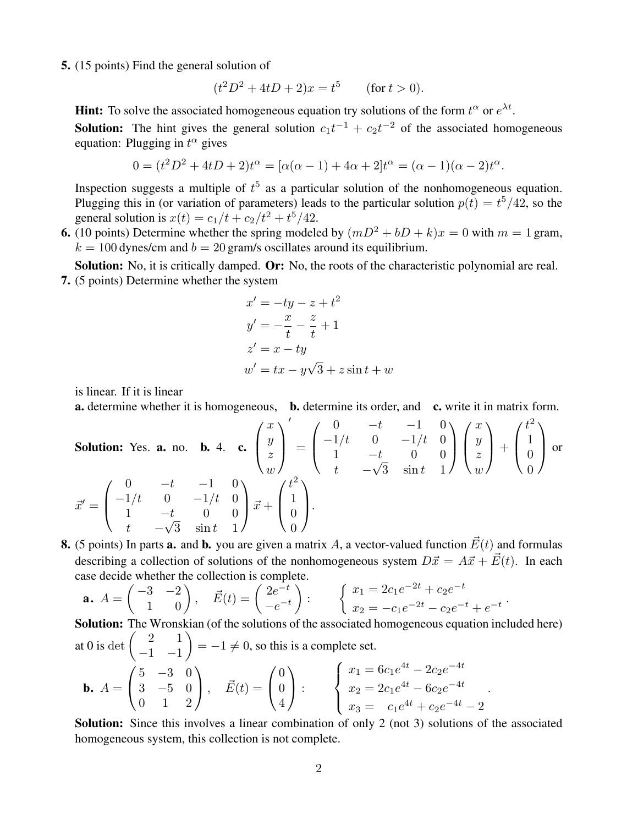5. (15 points) Find the general solution of

$$
(t2D2 + 4tD + 2)x = t5
$$
 (for  $t > 0$ ).

**Hint:** To solve the associated homogeneous equation try solutions of the form  $t^{\alpha}$  or  $e^{\lambda t}$ .

**Solution:** The hint gives the general solution  $c_1t^{-1} + c_2t^{-2}$  of the associated homogeneous equation: Plugging in  $t^{\alpha}$  gives

$$
0 = (t2D2 + 4tD + 2)t\alpha = [\alpha(\alpha - 1) + 4\alpha + 2]t\alpha = (\alpha - 1)(\alpha - 2)t\alpha.
$$

Inspection suggests a multiple of  $t^5$  as a particular solution of the nonhomogeneous equation. Plugging this in (or variation of parameters) leads to the particular solution  $p(t) = t^5/42$ , so the general solution is  $x(t) = c_1/t + c_2/t^2 + t^5/42$ .

6. (10 points) Determine whether the spring modeled by  $(mD^2 + bD + k)x = 0$  with  $m = 1$  gram,  $k = 100$  dynes/cm and  $b = 20$  gram/s oscillates around its equilibrium.

Solution: No, it is critically damped. Or: No, the roots of the characteristic polynomial are real. 7. (5 points) Determine whether the system

$$
x' = -ty - z + t2
$$
  
\n
$$
y' = -\frac{x}{t} - \frac{z}{t} + 1
$$
  
\n
$$
z' = x - ty
$$
  
\n
$$
w' = tx - y\sqrt{3} + z\sin t + w
$$

is linear. If it is linear

a. determine whether it is homogeneous, b. determine its order, and c. write it in matrix form.

Solution: Yes. **a.** no. **b.** 4. **c.** 
$$
\begin{pmatrix} x \\ y \\ z \\ w \end{pmatrix}' = \begin{pmatrix} 0 & -t & -1 & 0 \\ -1/t & 0 & -1/t & 0 \\ 1 & -t & 0 & 0 \\ t & -\sqrt{3} & \sin t & 1 \end{pmatrix} \begin{pmatrix} x \\ y \\ z \\ w \end{pmatrix} + \begin{pmatrix} t^2 \\ 1 \\ 0 \\ t & -\sqrt{3} \end{pmatrix}
$$
 or   

$$
\vec{x}' = \begin{pmatrix} 0 & -t & -1 & 0 \\ -1/t & 0 & -1/t & 0 \\ 1 & -t & 0 & 0 \\ t & -\sqrt{3} & \sin t & 1 \end{pmatrix} \vec{x} + \begin{pmatrix} t^2 \\ 1 \\ 0 \\ 0 \end{pmatrix}.
$$

**8.** (5 points) In parts **a.** and **b.** you are given a matrix A, a vector-valued function  $\vec{E}(t)$  and formulas describing a collection of solutions of the nonhomogeneous system  $D\vec{x} = A\vec{x} + \vec{E}(t)$ . In each case decide whether the collection is complete.

**a.** 
$$
A = \begin{pmatrix} -3 & -2 \\ 1 & 0 \end{pmatrix}
$$
,  $\vec{E}(t) = \begin{pmatrix} 2e^{-t} \\ -e^{-t} \end{pmatrix}$ :  $\begin{cases} x_1 = 2c_1e^{-2t} + c_2e^{-t} \\ x_2 = -c_1e^{-2t} - c_2e^{-t} + e^{-t} \end{cases}$ 

**Solution:** The Wronskian (of the solutions of the associated homogeneous equation included here)  
at 0 is det 
$$
\begin{pmatrix} 2 & 1 \ -1 & -1 \end{pmatrix} = -1 \neq 0
$$
, so this is a complete set.  
**b.**  $A = \begin{pmatrix} 5 & -3 & 0 \ 3 & -5 & 0 \ 0 & 1 & 2 \end{pmatrix}$ ,  $\vec{E}(t) = \begin{pmatrix} 0 \ 0 \ 4 \end{pmatrix}$ :  $\begin{cases} x_1 = 6c_1e^{4t} - 2c_2e^{-4t} \ x_2 = 2c_1e^{4t} - 6c_2e^{-4t} \ x_3 = c_1e^{4t} + c_2e^{-4t} - 2 \end{cases}$ .

Solution: Since this involves a linear combination of only 2 (not 3) solutions of the associated homogeneous system, this collection is not complete.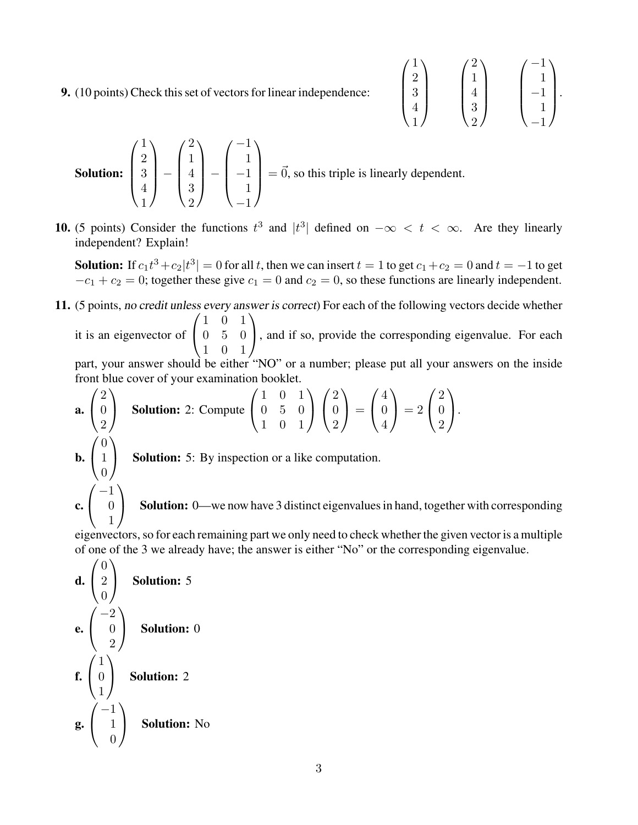9. (10 points) Check this set of vectors for linear independence:

$$
\begin{pmatrix} 1 \\ 2 \\ 3 \\ 4 \\ 1 \end{pmatrix} \qquad \begin{pmatrix} 2 \\ 1 \\ 4 \\ 3 \\ 2 \end{pmatrix} \qquad \begin{pmatrix} -1 \\ 1 \\ -1 \\ 1 \\ -1 \end{pmatrix}.
$$

**Solution:** 
$$
\begin{pmatrix} 1 \\ 2 \\ 3 \\ 4 \\ 1 \end{pmatrix} - \begin{pmatrix} 2 \\ 1 \\ 4 \\ 3 \\ 2 \end{pmatrix} - \begin{pmatrix} -1 \\ 1 \\ -1 \\ 1 \\ -1 \end{pmatrix} = \vec{0}, \text{ so this triple is linearly dependent.}
$$

**10.** (5 points) Consider the functions  $t^3$  and  $|t^3|$  defined on  $-\infty < t < \infty$ . Are they linearly independent? Explain!

**Solution:** If  $c_1t^3 + c_2|t^3| = 0$  for all t, then we can insert  $t = 1$  to get  $c_1+c_2 = 0$  and  $t = -1$  to get  $-c_1 + c_2 = 0$ ; together these give  $c_1 = 0$  and  $c_2 = 0$ , so these functions are linearly independent.

11. (5 points, no credit unless every answer is correct) For each of the following vectors decide whether it is an eigenvector of  $\sqrt{ }$ 1 0 1 0 5 0  $\setminus$ , and if so, provide the corresponding eigenvalue. For each

 $\mathcal{L}$ 1 0 1 part, your answer should be either "NO" or a number; please put all your answers on the inside

front blue cover of your examination booklet.

**a.** 
$$
\begin{pmatrix} 2 \\ 0 \\ 2 \end{pmatrix}
$$
 Solution: 2: Compute  $\begin{pmatrix} 1 & 0 & 1 \\ 0 & 5 & 0 \\ 1 & 0 & 1 \end{pmatrix} \begin{pmatrix} 2 \\ 0 \\ 2 \end{pmatrix} = \begin{pmatrix} 4 \\ 0 \\ 4 \end{pmatrix} = 2 \begin{pmatrix} 2 \\ 0 \\ 2 \end{pmatrix}.$   
\n**b.**  $\begin{pmatrix} 0 \\ 1 \\ 0 \end{pmatrix}$  Solution: 5: By inspection or a like computation.  
\n**c.**  $\begin{pmatrix} -1 \\ 0 \\ 1 \end{pmatrix}$  Solution: 0—we now have 3 distinct eigenvalues in hand, together with corresponding

eigenvectors, so for each remaining part we only need to check whether the given vector is a multiple of one of the 3 we already have; the answer is either "No" or the corresponding eigenvalue.

**d.** 
$$
\begin{pmatrix} 0 \\ 2 \\ 0 \end{pmatrix}
$$
 Solution: 5  
\n**e.**  $\begin{pmatrix} -2 \\ 0 \\ 2 \end{pmatrix}$  Solution: 0  
\n**f.**  $\begin{pmatrix} 1 \\ 0 \\ 1 \end{pmatrix}$  Solution: 2  
\n**g.**  $\begin{pmatrix} -1 \\ 1 \\ 0 \end{pmatrix}$  Solution: No